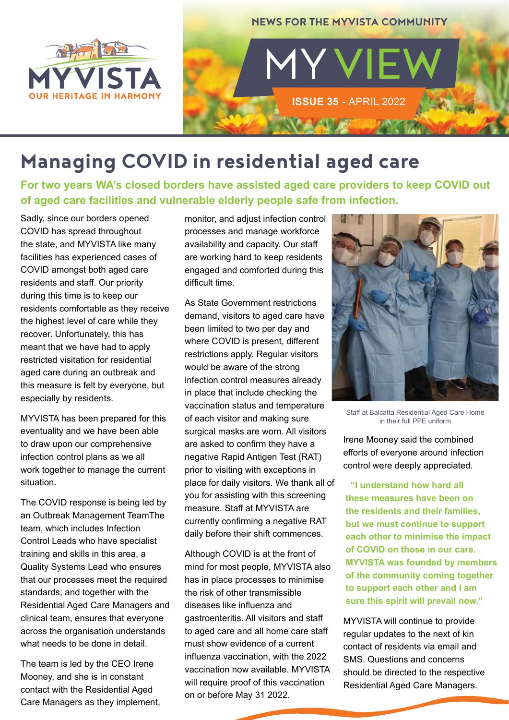



# **Managing COVID in residential aged care**

**For two years WA's closed borders have assisted aged care providers to keep COVID out of aged care facilities and vulnerable elderly people safe from infection.** 

Sadly, since our borders opened COVID has spread throughout the state, and MYVISTA like many facilities has experienced cases of COVID amongst both aged care residents and staff. Our priority during this time is to keep our residents comfortable as they receive the highest level of care while they recover. Unfortunately, this has meant that we have had to apply restricted visitation for residential aged care during an outbreak and this measure is felt by everyone, but especially by residents.

MYVISTA has been prepared for this eventuality and we have been able to draw upon our comprehensive infection control plans as we all work together to manage the current situation.

The COVID response is being led by an Outbreak Management TeamThe team, which includes Infection Control Leads who have specialist training and skills in this area, a Quality Systems Lead who ensures that our processes meet the required standards, and together with the Residential Aged Care Managers and clinical team, ensures that everyone across the organisation understands what needs to be done in detail.

The team is led by the CEO Irene Mooney, and she is in constant contact with the Residential Aged Care Managers as they implement, monitor, and adjust infection control processes and manage workforce availability and capacity. Our staff are working hard to keep residents engaged and comforted during this difficult time.

As State Government restrictions demand, visitors to aged care have been limited to two per day and where COVID is present, different restrictions apply. Regular visitors would be aware of the strong infection control measures already in place that include checking the vaccination status and temperature of each visitor and making sure surgical masks are worn. All visitors are asked to confirm they have a negative Rapid Antigen Test (RAT) prior to visiting with exceptions in place for daily visitors. We thank all of you for assisting with this screening measure. Staff at MYVISTA are currently confirming a negative RAT daily before their shift commences.

Although COVID is at the front of mind for most people, MYVISTA also has in place processes to minimise the risk of other transmissible diseases like influenza and gastroenteritis. All visitors and staff to aged care and all home care staff must show evidence of a current influenza vaccination, with the 2022 vaccination now available. MYVISTA will require proof of this vaccination on or before May 31 2022.



Staff at Balcatta Residential Aged Care Home in their full PPE uniform

Irene Mooney said the combined efforts of everyone around infection control were deeply appreciated.

**"I understand how hard all these measures have been on the residents and their families, but we must continue to support each other to minimise the impact of COVID on those in our care. MYVISTA was founded by members of the community coming together to support each other and I am sure this spirit will prevail now."**

MYVISTA will continue to provide regular updates to the next of kin contact of residents via email and SMS. Questions and concerns should be directed to the respective Residential Aged Care Managers.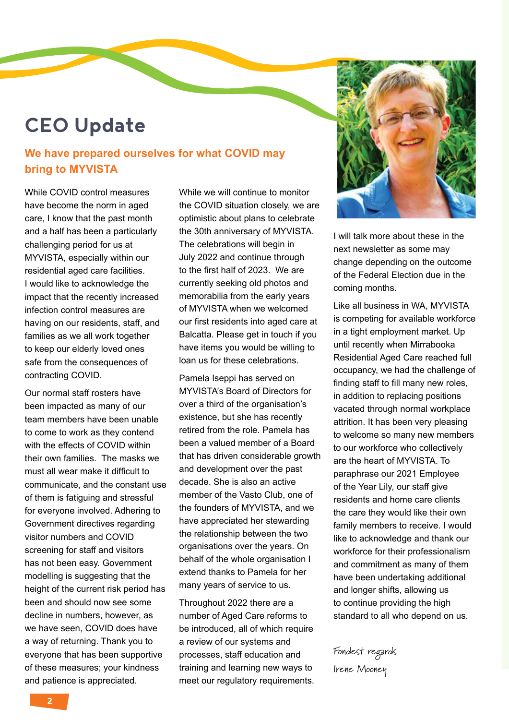## **CEO Update**

#### **We have prepared ourselves for what COVID may bring to MYVISTA**

While COVID control measures have become the norm in aged care, I know that the past month and a half has been a particularly challenging period for us at MYVISTA, especially within our residential aged care facilities. I would like to acknowledge the impact that the recently increased infection control measures are having on our residents, staff, and families as we all work together to keep our elderly loved ones safe from the consequences of contracting COVID.

Our normal staff rosters have been impacted as many of our team members have been unable to come to work as they contend with the effects of COVID within their own families. The masks we must all wear make it difficult to communicate, and the constant use of them is fatiguing and stressful for everyone involved. Adhering to Government directives regarding visitor numbers and COVID screening for staff and visitors has not been easy. Government modelling is suggesting that the height of the current risk period has been and should now see some decline in numbers, however, as we have seen, COVID does have a way of returning. Thank you to everyone that has been supportive of these measures; your kindness and patience is appreciated.

While we will continue to monitor the COVID situation closely, we are optimistic about plans to celebrate the 30th anniversary of MYVISTA. The celebrations will begin in July 2022 and continue through to the first half of 2023. We are currently seeking old photos and memorabilia from the early years of MYVISTA when we welcomed our first residents into aged care at Balcatta. Please get in touch if you have items you would be willing to loan us for these celebrations.

Pamela Iseppi has served on MYVISTA's Board of Directors for over a third of the organisation's existence, but she has recently retired from the role. Pamela has been a valued member of a Board that has driven considerable growth and development over the past decade. She is also an active member of the Vasto Club, one of the founders of MYVISTA, and we have appreciated her stewarding the relationship between the two organisations over the years. On behalf of the whole organisation I extend thanks to Pamela for her many years of service to us.

Throughout 2022 there are a number of Aged Care reforms to be introduced, all of which require a review of our systems and processes, staff education and training and learning new ways to meet our requiatory requirements.



I will talk more about these in the next newsletter as some may change depending on the outcome of the Federal Election due in the coming months.

Like all business in WA, MYVISTA is competing for available workforce in a tight employment market. Up until recently when Mirrabooka Residential Aged Care reached full occupancy, we had the challenge of finding staff to fill many new roles, in addition to replacing positions vacated through normal workplace attrition. It has been very pleasing to welcome so many new members to our workforce who collectively are the heart of MYVISTA. To paraphrase our 2021 Employee of the Year Lily, our staff give residents and home care clients the care they would like their own family members to receive. I would like to acknowledge and thank our workforce for their professionalism and commitment as many of them have been undertaking additional and longer shifts, allowing us to continue providing the high standard to all who depend on us.

Fondest regards

Irene Mooney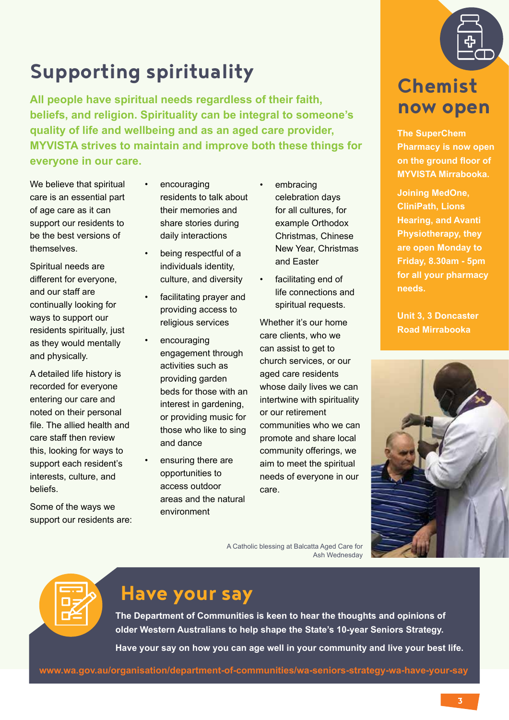

# **Supporting spirituality**

**All people have spiritual needs regardless of their faith, beliefs, and religion. Spirituality can be integral to someone's quality of life and wellbeing and as an aged care provider, MYVISTA strives to maintain and improve both these things for everyone in our care.**

We believe that spiritual care is an essential part of age care as it can support our residents to be the best versions of themselves.

Spiritual needs are different for everyone, and our staff are continually looking for ways to support our residents spiritually, just as they would mentally and physically.

A detailed life history is recorded for everyone entering our care and noted on their personal file. The allied health and care staff then review this, looking for ways to support each resident's interests, culture, and beliefs.

Some of the ways we support our residents are:

- **encouraging** residents to talk about their memories and share stories during daily interactions
- being respectful of a individuals identity, culture, and diversity
- facilitating prayer and providing access to religious services
- encouraging engagement through activities such as providing garden beds for those with an interest in gardening, or providing music for those who like to sing and dance
- ensuring there are opportunities to access outdoor areas and the natural environment
- embracing celebration days for all cultures, for example Orthodox Christmas, Chinese New Year, Christmas and Easter
- facilitating end of life connections and spiritual requests.

Whether it's our home care clients, who we can assist to get to church services, or our aged care residents whose daily lives we can intertwine with spirituality or our retirement communities who we can promote and share local community offerings, we aim to meet the spiritual needs of everyone in our care.

## **Chemist now open**

**The SuperChem Pharmacy is now open on the ground floor of MYVISTA Mirrabooka.**

**Joining MedOne, CliniPath, Lions Hearing, and Avanti Physiotherapy, they are open Monday to Friday, 8.30am - 5pm for all your pharmacy needs.**

**Unit 3, 3 Doncaster Road Mirrabooka**



| - . - |  |
|-------|--|
|       |  |
|       |  |
|       |  |

#### **Have your say**

**The Department of Communities is keen to hear the thoughts and opinions of older Western Australians to help shape the State's 10-year Seniors Strategy.**

**Have your say on how you can age well in your community and live your best life.**

**www.wa.gov.au/organisation/department-of-communities/wa-seniors-strategy-wa-have-your-say**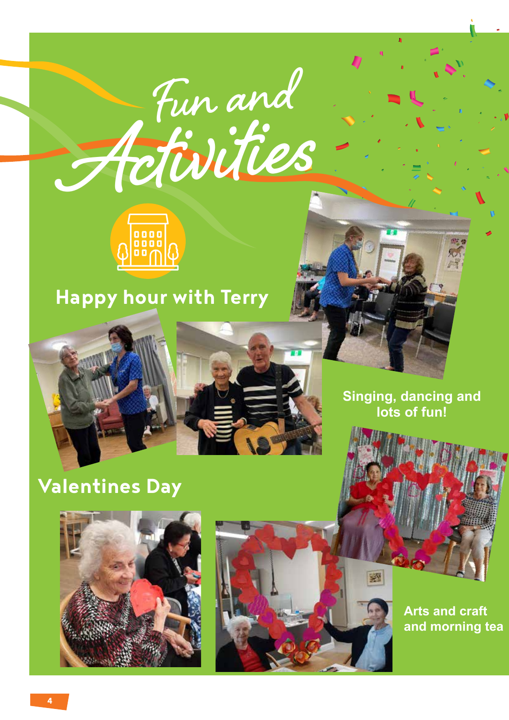# **Activities Fun and**



## **Happy hour with Terry**



## **Valentines Day**





**Arts and craft and morning tea**

**Singing, dancing and lots of fun!**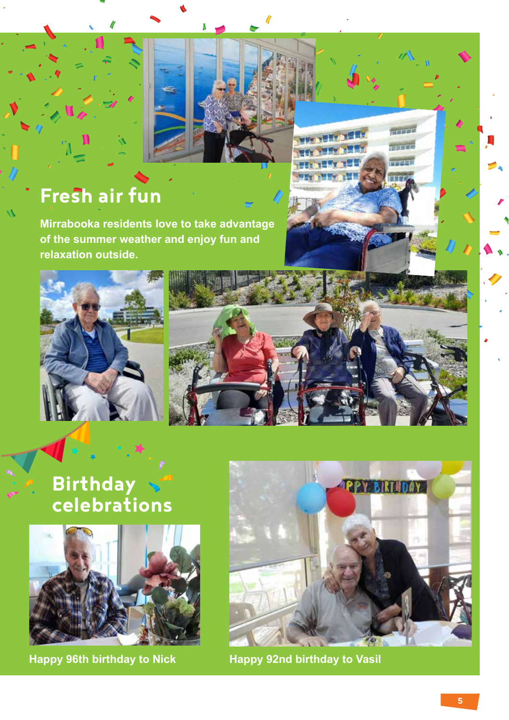## **Fresh air fun**

**Mirrabooka residents love to take advantage of the summer weather and enjoy fun and relaxation outside.** 



**Birthday celebrations**





**MELLER**  $1111$ **TTTL** TT

**Happy 96th birthday to Nick Happy 92nd birthday to Vasil**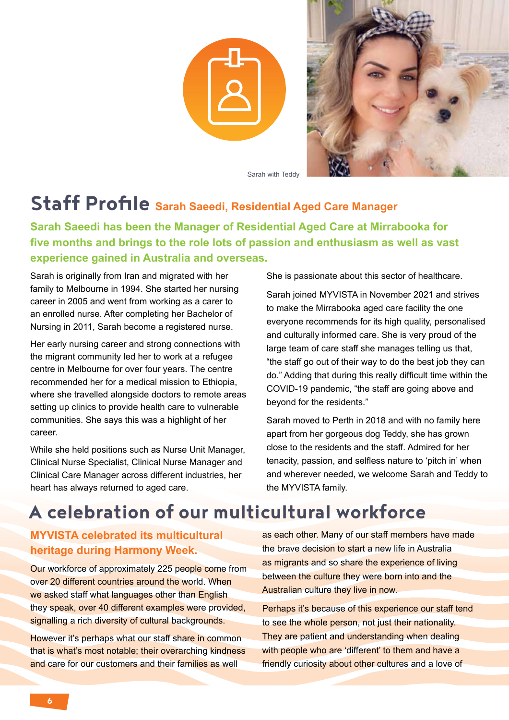



Sarah with Teddy

## **Staff Profile Sarah Saeedi, Residential Aged Care Manager**

**Sarah Saeedi has been the Manager of Residential Aged Care at Mirrabooka for five months and brings to the role lots of passion and enthusiasm as well as vast experience gained in Australia and overseas.** 

Sarah is originally from Iran and migrated with her family to Melbourne in 1994. She started her nursing career in 2005 and went from working as a carer to an enrolled nurse. After completing her Bachelor of Nursing in 2011, Sarah become a registered nurse.

Her early nursing career and strong connections with the migrant community led her to work at a refugee centre in Melbourne for over four years. The centre recommended her for a medical mission to Ethiopia, where she travelled alongside doctors to remote areas setting up clinics to provide health care to vulnerable communities. She says this was a highlight of her career.

While she held positions such as Nurse Unit Manager, Clinical Nurse Specialist, Clinical Nurse Manager and Clinical Care Manager across different industries, her heart has always returned to aged care.

She is passionate about this sector of healthcare.

Sarah joined MYVISTA in November 2021 and strives to make the Mirrabooka aged care facility the one everyone recommends for its high quality, personalised and culturally informed care. She is very proud of the large team of care staff she manages telling us that, "the staff go out of their way to do the best job they can do." Adding that during this really difficult time within the COVID-19 pandemic, "the staff are going above and beyond for the residents."

Sarah moved to Perth in 2018 and with no family here apart from her gorgeous dog Teddy, she has grown close to the residents and the staff. Admired for her tenacity, passion, and selfless nature to 'pitch in' when and wherever needed, we welcome Sarah and Teddy to the MYVISTA family.

#### **A celebration of our multicultural workforce**

#### **MYVISTA celebrated its multicultural heritage during Harmony Week.**

Our workforce of approximately 225 people come from over 20 different countries around the world. When we asked staff what languages other than English they speak, over 40 different examples were provided, signalling a rich diversity of cultural backgrounds.

However it's perhaps what our staff share in common that is what's most notable; their overarching kindness and care for our customers and their families as well

as each other. Many of our staff members have made the brave decision to start a new life in Australia as migrants and so share the experience of living between the culture they were born into and the Australian culture they live in now.

Perhaps it's because of this experience our staff tend to see the whole person, not just their nationality. They are patient and understanding when dealing with people who are 'different' to them and have a friendly curiosity about other cultures and a love of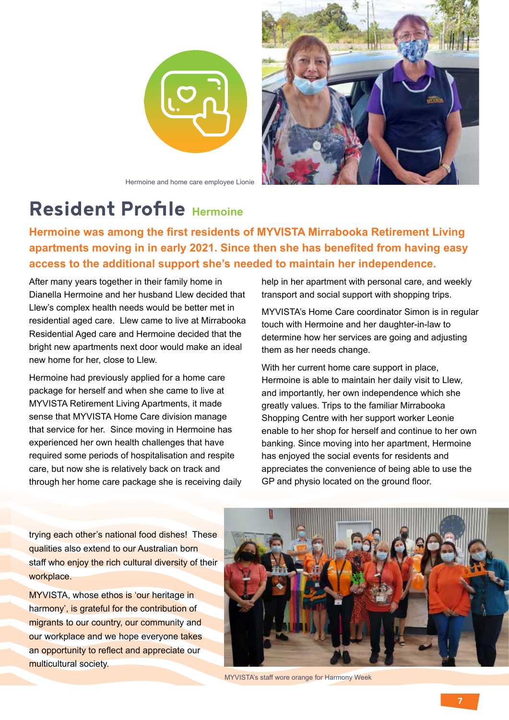

Hermoine and home care employee Lionie



#### **Resident Profile Hermoine**

**Hermoine was among the first residents of MYVISTA Mirrabooka Retirement Living apartments moving in in early 2021. Since then she has benefited from having easy access to the additional support she's needed to maintain her independence.** 

After many years together in their family home in Dianella Hermoine and her husband Llew decided that Llew's complex health needs would be better met in residential aged care. Llew came to live at Mirrabooka Residential Aged care and Hermoine decided that the bright new apartments next door would make an ideal new home for her, close to Llew.

Hermoine had previously applied for a home care package for herself and when she came to live at MYVISTA Retirement Living Apartments, it made sense that MYVISTA Home Care division manage that service for her. Since moving in Hermoine has experienced her own health challenges that have required some periods of hospitalisation and respite care, but now she is relatively back on track and through her home care package she is receiving daily help in her apartment with personal care, and weekly transport and social support with shopping trips.

MYVISTA's Home Care coordinator Simon is in regular touch with Hermoine and her daughter-in-law to determine how her services are going and adjusting them as her needs change.

With her current home care support in place, Hermoine is able to maintain her daily visit to Llew, and importantly, her own independence which she greatly values. Trips to the familiar Mirrabooka Shopping Centre with her support worker Leonie enable to her shop for herself and continue to her own banking. Since moving into her apartment, Hermoine has enjoyed the social events for residents and appreciates the convenience of being able to use the GP and physio located on the ground floor.

trying each other's national food dishes! These qualities also extend to our Australian born staff who enjoy the rich cultural diversity of their workplace.

MYVISTA, whose ethos is 'our heritage in harmony', is grateful for the contribution of migrants to our country, our community and our workplace and we hope everyone takes an opportunity to reflect and appreciate our multicultural society.



MYVISTA's staff wore orange for Harmony Week